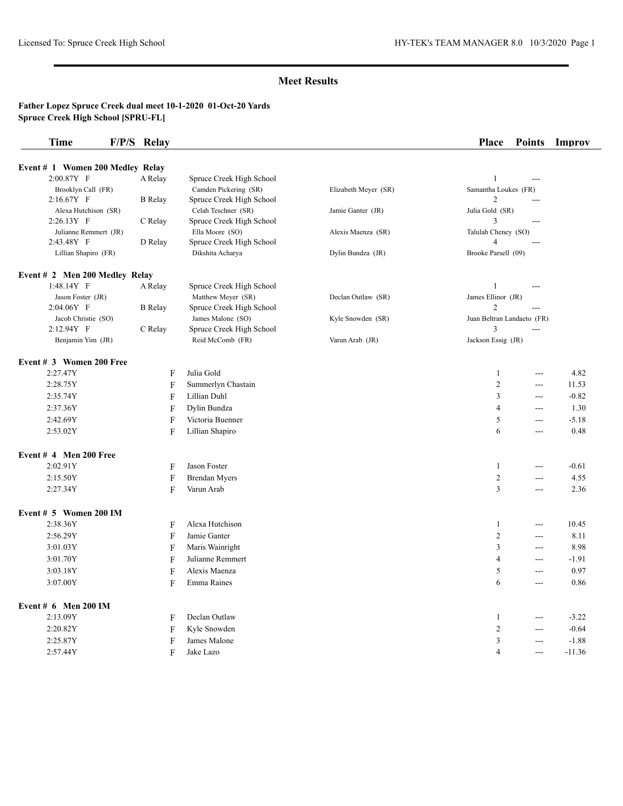| <b>Time</b>                      | F/P/S Relay    |                          |                      | <b>Place</b>               | <b>Points</b> | Improv   |
|----------------------------------|----------------|--------------------------|----------------------|----------------------------|---------------|----------|
| Event # 1 Women 200 Medley Relay |                |                          |                      |                            |               |          |
| 2:00.87Y F                       | A Relay        | Spruce Creek High School |                      | $\mathbf{1}$               | $\sim$        |          |
| Brooklyn Call (FR)               |                | Camden Pickering (SR)    | Elizabeth Meyer (SR) | Samantha Loukes (FR)       |               |          |
| $2:16.67Y$ F                     | <b>B</b> Relay | Spruce Creek High School |                      | 2                          | ---           |          |
| Alexa Hutchison (SR)             |                | Celah Teschner (SR)      | Jamie Ganter (JR)    | Julia Gold (SR)            |               |          |
| 2:26.13Y F                       | C Relay        | Spruce Creek High School |                      | 3                          | $---$         |          |
| Julianne Remmert (JR)            |                | Ella Moore (SO)          | Alexis Maenza (SR)   | Talulah Cheney (SO)        |               |          |
| 2:43.48Y F                       | D Relay        | Spruce Creek High School |                      | $\overline{4}$             | ---           |          |
| Lillian Shapiro (FR)             |                | Dikshita Acharya         | Dylin Bundza (JR)    | Brooke Parsell (09)        |               |          |
| Event # 2 Men 200 Medley Relay   |                |                          |                      |                            |               |          |
| $1:48.14Y$ F                     | A Relay        | Spruce Creek High School |                      | 1                          | ---           |          |
| Jason Foster (JR)                |                | Matthew Meyer (SR)       | Declan Outlaw (SR)   | James Ellinor (JR)         |               |          |
| $2:04.06Y$ F                     | <b>B</b> Relay | Spruce Creek High School |                      | 2                          | ---           |          |
| Jacob Christie (SO)              |                | James Malone (SO)        | Kyle Snowden (SR)    | Juan Beltran Landaeto (FR) |               |          |
| $2:12.94Y$ F                     | C Relay        | Spruce Creek High School |                      | 3                          | $--$          |          |
| Benjamin Yim (JR)                |                | Reid McComb (FR)         | Varun Arab (JR)      | Jackson Essig (JR)         |               |          |
| Event # 3 Women 200 Free         |                |                          |                      |                            |               |          |
| 2:27.47Y                         | F              | Julia Gold               |                      | 1                          | ---           | 4.82     |
| 2:28.75Y                         | F              | Summerlyn Chastain       |                      | $\overline{2}$             | ---           | 11.53    |
| 2:35.74Y                         | F              | Lillian Duhl             |                      | 3                          | ---           | $-0.82$  |
| 2:37.36Y                         | F              | Dylin Bundza             |                      | 4                          | $---$         | 1.30     |
| 2:42.69Y                         | F              | Victoria Buenner         |                      | 5                          | ---           | $-5.18$  |
| 2:53.02Y                         | F              | Lillian Shapiro          |                      | 6                          | ---           | 0.48     |
| Event # 4 Men 200 Free           |                |                          |                      |                            |               |          |
| 2:02.91Y                         | F              | Jason Foster             |                      | 1                          | ---           | $-0.61$  |
| 2:15.50Y                         | F              | <b>Brendan Myers</b>     |                      | $\overline{c}$             | ---           | 4.55     |
| 2:27.34Y                         | F              | Varun Arab               |                      | 3                          | $---$         | 2.36     |
| Event $# 5$ Women 200 IM         |                |                          |                      |                            |               |          |
| 2:38.36Y                         | F              | Alexa Hutchison          |                      | 1                          | $---$         | 10.45    |
| 2:56.29Y                         | F              | Jamie Ganter             |                      | $\overline{2}$             | ---           | 8.11     |
| $3:01.03\mathrm{Y}$              | F              | Maris Wainright          |                      | 3                          | ---           | 8.98     |
| 3:01.70Y                         | F              | Julianne Remmert         |                      | 4                          | $---$         | $-1.91$  |
| 3:03.18Y                         | F              | Alexis Maenza            |                      | 5                          | $---$         | 0.97     |
|                                  |                | Emma Raines              |                      | 6                          |               | 0.86     |
| 3:07.00Y                         | F              |                          |                      |                            | ---           |          |
| Event $# 6$ Men 200 IM           |                |                          |                      |                            |               |          |
| 2:13.09Y                         | F              | Declan Outlaw            |                      | 1                          | $---$         | $-3.22$  |
| 2:20.82Y                         | F              | Kyle Snowden             |                      | $\overline{2}$             | $---$         | $-0.64$  |
| 2:25.87Y                         | F              | James Malone             |                      | 3                          | $---$         | $-1.88$  |
| 2:57.44Y                         | F              | Jake Lazo                |                      | 4                          | ---           | $-11.36$ |
|                                  |                |                          |                      |                            |               |          |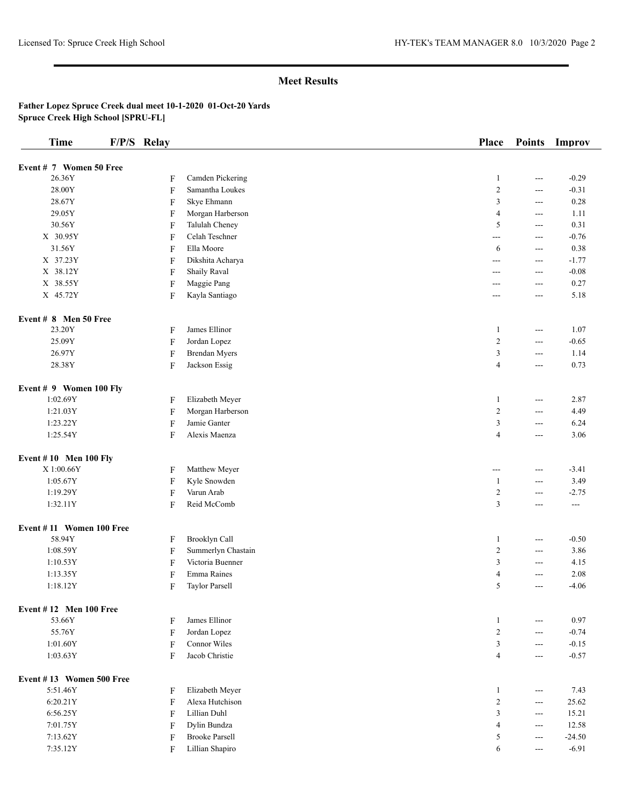| <b>Time</b>                   | F/P/S Relay               |                       | <b>Place</b>   | <b>Points</b>           | Improv   |
|-------------------------------|---------------------------|-----------------------|----------------|-------------------------|----------|
|                               |                           |                       |                |                         |          |
| Event # 7 Women 50 Free       |                           |                       |                |                         |          |
| 26.36Y                        | F                         | Camden Pickering      | $\mathbf{1}$   | ---                     | $-0.29$  |
| 28.00Y                        | $\mathbf{F}$              | Samantha Loukes       | $\sqrt{2}$     | $\sim$ $\sim$           | $-0.31$  |
| 28.67Y                        | $\mathbf{F}$              | Skye Ehmann           | $\mathfrak z$  | $\overline{a}$          | 0.28     |
| 29.05Y                        | $\boldsymbol{\mathrm{F}}$ | Morgan Harberson      | $\overline{4}$ | $\overline{a}$          | 1.11     |
| 30.56Y                        | $\mathbf F$               | Talulah Cheney        | 5              | $\sim$ $\sim$           | 0.31     |
| X 30.95Y                      | $\boldsymbol{\mathrm{F}}$ | Celah Teschner        | $\overline{a}$ | $\overline{a}$          | $-0.76$  |
| 31.56Y                        | $\mathbf{F}$              | Ella Moore            | 6              | $\overline{a}$          | 0.38     |
| X 37.23Y                      | $\mathbf{F}$              | Dikshita Acharya      | ---            | $\overline{a}$          | $-1.77$  |
| X 38.12Y                      | $\boldsymbol{\mathrm{F}}$ | <b>Shaily Raval</b>   | $---$          | $\sim$ $\sim$           | $-0.08$  |
| X 38.55Y                      | $\boldsymbol{\mathrm{F}}$ | Maggie Pang           | $---$          | $\overline{a}$          | 0.27     |
| X 45.72Y                      | ${\bf F}$                 | Kayla Santiago        | ---            | $\sim$ $\sim$           | 5.18     |
| Event # 8 Men 50 Free         |                           |                       |                |                         |          |
| 23.20Y                        | $\mathbf{F}$              | James Ellinor         | $\mathbf{1}$   | $\sim$ $\sim$           | 1.07     |
| 25.09Y                        | $\boldsymbol{\mathrm{F}}$ | Jordan Lopez          | $\sqrt{2}$     | $\overline{a}$          | $-0.65$  |
| 26.97Y                        | $\boldsymbol{\mathrm{F}}$ | <b>Brendan Myers</b>  | $\mathfrak{Z}$ | $\cdots$                | 1.14     |
| 28.38Y                        | $\mathbf F$               | Jackson Essig         | $\overline{4}$ | $\overline{a}$          | 0.73     |
| Event # 9 Women 100 Fly       |                           |                       |                |                         |          |
| 1:02.69Y                      | $\boldsymbol{\mathrm{F}}$ | Elizabeth Meyer       | $\mathbf{1}$   | $\sim$ $\sim$           | 2.87     |
| 1:21.03Y                      | $\mathbf{F}$              | Morgan Harberson      | $\sqrt{2}$     | $\overline{a}$          | 4.49     |
| 1:23.22Y                      | $\mathbf{F}$              | Jamie Ganter          | $\mathfrak z$  | $\overline{a}$          | 6.24     |
| 1:25.54Y                      | $\mathbf{F}$              | Alexis Maenza         | $\overline{4}$ | $\overline{a}$          | 3.06     |
| Event $# 10$ Men 100 Fly      |                           |                       |                |                         |          |
| X 1:00.66Y                    | $\mathbf{F}$              | Matthew Meyer         | $---$          | $\sim$ $\sim$           | $-3.41$  |
| 1:05.67Y                      | $\boldsymbol{\mathrm{F}}$ | Kyle Snowden          | $\mathbf{1}$   | $\sim$ $\sim$           | 3.49     |
| 1:19.29Y                      | ${\bf F}$                 | Varun Arab            | $\overline{2}$ | $\overline{a}$          | $-2.75$  |
| 1:32.11Y                      | ${\bf F}$                 | Reid McComb           | $\mathfrak{Z}$ | ---                     | $---$    |
| Event #11 Women 100 Free      |                           |                       |                |                         |          |
| 58.94Y                        | F                         | <b>Brooklyn Call</b>  | $\mathbf{1}$   | $\overline{a}$          | $-0.50$  |
| 1:08.59Y                      | $\boldsymbol{\mathrm{F}}$ | Summerlyn Chastain    | $\mathbf{2}$   | $\overline{a}$          | 3.86     |
| 1:10.53Y                      | F                         | Victoria Buenner      | 3              | $\cdots$                | 4.15     |
| 1:13.35Y                      | F                         | Emma Raines           | $\overline{4}$ | $\overline{a}$          | 2.08     |
| 1:18.12Y                      | $\boldsymbol{\mathrm{F}}$ | <b>Taylor Parsell</b> | 5              | $\overline{a}$          | $-4.06$  |
| <b>Event #12 Men 100 Free</b> |                           |                       |                |                         |          |
| 53.66Y                        | F                         | James Ellinor         | $\mathbf{1}$   | $\sim$ $\sim$           | 0.97     |
| 55.76Y                        | $\boldsymbol{\mathrm{F}}$ | Jordan Lopez          | $\sqrt{2}$     | $\overline{a}$          | $-0.74$  |
| 1:01.60Y                      | $\mathbf{F}$              | Connor Wiles          | $\mathfrak{Z}$ | $\overline{a}$          | $-0.15$  |
| 1:03.63Y                      | F                         | Jacob Christie        | $\overline{4}$ | $\sim$ $\sim$           | $-0.57$  |
| Event #13 Women 500 Free      |                           |                       |                |                         |          |
| 5:51.46Y                      | F                         | Elizabeth Meyer       | $\mathbf{1}$   | $\sim$ $\sim$           | 7.43     |
| 6:20.21Y                      | F                         | Alexa Hutchison       | $\overline{2}$ | $\overline{a}$          | 25.62    |
| 6:56.25Y                      | F                         | Lillian Duhl          | 3              | $\cdots$                | 15.21    |
| 7:01.75Y                      | F                         | Dylin Bundza          | $\overline{4}$ | $\scriptstyle \cdots$ . | 12.58    |
| 7:13.62Y                      | F                         | <b>Brooke Parsell</b> | 5              | $\overline{a}$          | $-24.50$ |
| 7:35.12Y                      | F                         | Lillian Shapiro       | 6              | $---$                   | $-6.91$  |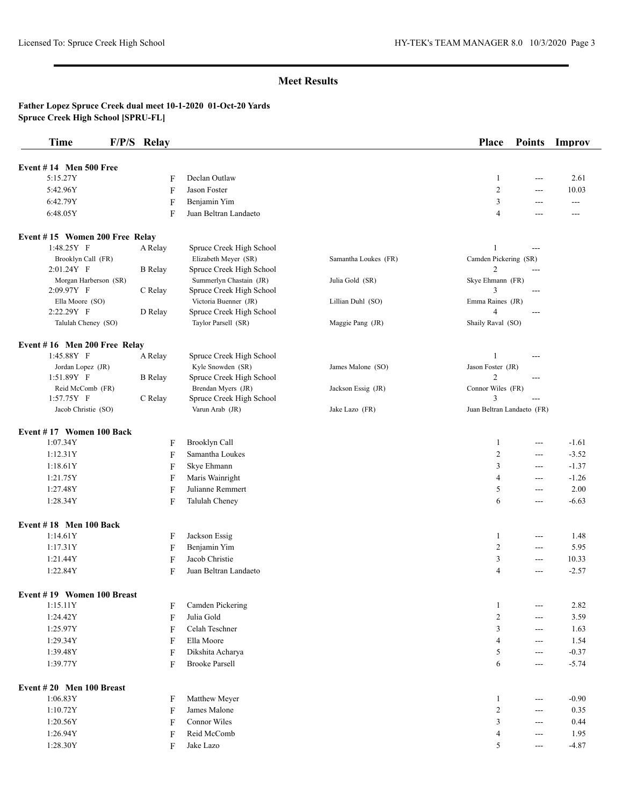| Event $#14$ Men 500 Free<br>5:15.27Y<br>Declan Outlaw<br>2.61<br>1<br>F<br>$\overline{a}$<br>$\overline{c}$<br>5:42.96Y<br>F<br>Jason Foster<br>10.03<br>$\overline{a}$<br>6:42.79Y<br>Benjamin Yim<br>3<br>F<br>---<br>---<br>6:48.05Y<br>Juan Beltran Landaeto<br>F<br>4<br>---<br>---<br>Event #15 Women 200 Free Relay<br>1:48.25Y F<br>Spruce Creek High School<br>A Relay<br>$---$<br>Camden Pickering (SR)<br>Brooklyn Call (FR)<br>Elizabeth Meyer (SR)<br>Samantha Loukes (FR)<br>$\mathfrak{2}$<br>2:01.24Y F<br><b>B</b> Relay<br>Spruce Creek High School<br>---<br>Summerlyn Chastain (JR)<br>Skye Ehmann (FR)<br>Morgan Harberson (SR)<br>Julia Gold (SR)<br>2:09.97Y F<br>Spruce Creek High School<br>3<br>C Relay<br>$---$<br>Victoria Buenner (JR)<br>Emma Raines (JR)<br>Ella Moore (SO)<br>Lillian Duhl (SO)<br>2:22.29Y F<br>D Relay<br>Spruce Creek High School<br>4<br>$---$<br>Talulah Cheney (SO)<br>Shaily Raval (SO)<br>Taylor Parsell (SR)<br>Maggie Pang (JR)<br>Event #16 Men 200 Free Relay<br>1:45.88Y F<br>Spruce Creek High School<br>A Relay<br>1<br>---<br>Jordan Lopez (JR)<br>Kyle Snowden (SR)<br>James Malone (SO)<br>Jason Foster (JR)<br>$\overline{c}$<br>1:51.89Y F<br><b>B</b> Relay<br>Spruce Creek High School<br>---<br>Connor Wiles (FR)<br>Reid McComb (FR)<br>Brendan Myers (JR)<br>Jackson Essig (JR)<br>3<br>1:57.75Y F<br>C Relay<br>Spruce Creek High School<br>$\overline{a}$<br>Varun Arab (JR)<br>Juan Beltran Landaeto (FR)<br>Jacob Christie (SO)<br>Jake Lazo (FR)<br>Event #17 Women 100 Back<br>1:07.34Y<br>Brooklyn Call<br>F<br>1<br>$-1.61$<br>$\overline{a}$<br>F<br>Samantha Loukes<br>$\overline{c}$<br>1:12.31Y<br>$-3.52$<br>$\overline{a}$<br>3<br>1:18.61Y<br>$\mathbf F$<br>Skye Ehmann<br>$-1.37$<br>$\overline{a}$<br>F<br>Maris Wainright<br>$\overline{4}$<br>1:21.75Y<br>$-1.26$<br>$---$<br>F<br>Julianne Remmert<br>5<br>2.00<br>1:27.48Y<br>$---$<br>1:28.34Y<br>F<br>Talulah Cheney<br>$-6.63$<br>6<br>$\overline{a}$<br>Event #18 Men 100 Back<br>1:14.61Y<br>Jackson Essig<br>1<br>1.48<br>F<br>$\overline{a}$<br>$\overline{c}$<br>1:17.31Y<br>F<br>Benjamin Yim<br>5.95<br>$\overline{a}$<br>1:21.44Y<br>Jacob Christie<br>3<br>10.33<br>F<br>$\overline{a}$<br>1:22.84Y<br>F<br>$-2.57$<br>Juan Beltran Landaeto<br>$\overline{4}$<br>$\overline{a}$<br>Event #19 Women 100 Breast<br>1:15.11Y<br>Camden Pickering<br>2.82<br>$\mathbf{1}$<br>F<br>$\cdots$<br>$\overline{c}$<br>1:24.42Y<br>$\mathbf F$<br>Julia Gold<br>3.59<br>$\cdots$<br>F<br>Celah Teschner<br>3<br>1.63<br>1:25.97Y<br>$\cdots$<br>1:29.34Y<br>F<br>Ella Moore<br>$\overline{4}$<br>1.54<br>$\overline{a}$<br>1:39.48Y<br>Dikshita Acharya<br>5<br>$-0.37$<br>F<br>$--$<br>1:39.77Y<br>F<br><b>Brooke Parsell</b><br>$-5.74$<br>6<br>$\qquad \qquad -$<br>Event #20 Men 100 Breast<br>1:06.83Y<br>$-0.90$<br>F<br>Matthew Meyer<br>$\mathbf{1}$<br>$\sim$ $\sim$<br>$\overline{c}$<br>1:10.72Y<br>$\boldsymbol{\mathrm{F}}$<br>James Malone<br>0.35<br>$\cdots$<br>3<br>1:20.56Y<br>F<br>Connor Wiles<br>0.44<br>$\cdots$<br>1:26.94Y<br>F<br>Reid McComb<br>$\overline{4}$<br>1.95<br>$\cdots$<br>F<br>Jake Lazo<br>5<br>$\cdots$ | <b>Time</b> | F/P/S Relay |  | <b>Place</b> | <b>Points</b> | Improv  |
|--------------------------------------------------------------------------------------------------------------------------------------------------------------------------------------------------------------------------------------------------------------------------------------------------------------------------------------------------------------------------------------------------------------------------------------------------------------------------------------------------------------------------------------------------------------------------------------------------------------------------------------------------------------------------------------------------------------------------------------------------------------------------------------------------------------------------------------------------------------------------------------------------------------------------------------------------------------------------------------------------------------------------------------------------------------------------------------------------------------------------------------------------------------------------------------------------------------------------------------------------------------------------------------------------------------------------------------------------------------------------------------------------------------------------------------------------------------------------------------------------------------------------------------------------------------------------------------------------------------------------------------------------------------------------------------------------------------------------------------------------------------------------------------------------------------------------------------------------------------------------------------------------------------------------------------------------------------------------------------------------------------------------------------------------------------------------------------------------------------------------------------------------------------------------------------------------------------------------------------------------------------------------------------------------------------------------------------------------------------------------------------------------------------------------------------------------------------------------------------------------------------------------------------------------------------------------------------------------------------------------------------------------------------------------------------------------------------------------------------------------------------------------------------------------------------------------------------------------------------------------------------------------------------------------------------------------------------------------------------------------------------------------------------------------------------------------------------------------------------------------------------------------------------------------------------------------|-------------|-------------|--|--------------|---------------|---------|
|                                                                                                                                                                                                                                                                                                                                                                                                                                                                                                                                                                                                                                                                                                                                                                                                                                                                                                                                                                                                                                                                                                                                                                                                                                                                                                                                                                                                                                                                                                                                                                                                                                                                                                                                                                                                                                                                                                                                                                                                                                                                                                                                                                                                                                                                                                                                                                                                                                                                                                                                                                                                                                                                                                                                                                                                                                                                                                                                                                                                                                                                                                                                                                                                  |             |             |  |              |               |         |
|                                                                                                                                                                                                                                                                                                                                                                                                                                                                                                                                                                                                                                                                                                                                                                                                                                                                                                                                                                                                                                                                                                                                                                                                                                                                                                                                                                                                                                                                                                                                                                                                                                                                                                                                                                                                                                                                                                                                                                                                                                                                                                                                                                                                                                                                                                                                                                                                                                                                                                                                                                                                                                                                                                                                                                                                                                                                                                                                                                                                                                                                                                                                                                                                  |             |             |  |              |               |         |
|                                                                                                                                                                                                                                                                                                                                                                                                                                                                                                                                                                                                                                                                                                                                                                                                                                                                                                                                                                                                                                                                                                                                                                                                                                                                                                                                                                                                                                                                                                                                                                                                                                                                                                                                                                                                                                                                                                                                                                                                                                                                                                                                                                                                                                                                                                                                                                                                                                                                                                                                                                                                                                                                                                                                                                                                                                                                                                                                                                                                                                                                                                                                                                                                  |             |             |  |              |               |         |
|                                                                                                                                                                                                                                                                                                                                                                                                                                                                                                                                                                                                                                                                                                                                                                                                                                                                                                                                                                                                                                                                                                                                                                                                                                                                                                                                                                                                                                                                                                                                                                                                                                                                                                                                                                                                                                                                                                                                                                                                                                                                                                                                                                                                                                                                                                                                                                                                                                                                                                                                                                                                                                                                                                                                                                                                                                                                                                                                                                                                                                                                                                                                                                                                  |             |             |  |              |               |         |
|                                                                                                                                                                                                                                                                                                                                                                                                                                                                                                                                                                                                                                                                                                                                                                                                                                                                                                                                                                                                                                                                                                                                                                                                                                                                                                                                                                                                                                                                                                                                                                                                                                                                                                                                                                                                                                                                                                                                                                                                                                                                                                                                                                                                                                                                                                                                                                                                                                                                                                                                                                                                                                                                                                                                                                                                                                                                                                                                                                                                                                                                                                                                                                                                  |             |             |  |              |               |         |
|                                                                                                                                                                                                                                                                                                                                                                                                                                                                                                                                                                                                                                                                                                                                                                                                                                                                                                                                                                                                                                                                                                                                                                                                                                                                                                                                                                                                                                                                                                                                                                                                                                                                                                                                                                                                                                                                                                                                                                                                                                                                                                                                                                                                                                                                                                                                                                                                                                                                                                                                                                                                                                                                                                                                                                                                                                                                                                                                                                                                                                                                                                                                                                                                  |             |             |  |              |               |         |
|                                                                                                                                                                                                                                                                                                                                                                                                                                                                                                                                                                                                                                                                                                                                                                                                                                                                                                                                                                                                                                                                                                                                                                                                                                                                                                                                                                                                                                                                                                                                                                                                                                                                                                                                                                                                                                                                                                                                                                                                                                                                                                                                                                                                                                                                                                                                                                                                                                                                                                                                                                                                                                                                                                                                                                                                                                                                                                                                                                                                                                                                                                                                                                                                  |             |             |  |              |               |         |
|                                                                                                                                                                                                                                                                                                                                                                                                                                                                                                                                                                                                                                                                                                                                                                                                                                                                                                                                                                                                                                                                                                                                                                                                                                                                                                                                                                                                                                                                                                                                                                                                                                                                                                                                                                                                                                                                                                                                                                                                                                                                                                                                                                                                                                                                                                                                                                                                                                                                                                                                                                                                                                                                                                                                                                                                                                                                                                                                                                                                                                                                                                                                                                                                  |             |             |  |              |               |         |
|                                                                                                                                                                                                                                                                                                                                                                                                                                                                                                                                                                                                                                                                                                                                                                                                                                                                                                                                                                                                                                                                                                                                                                                                                                                                                                                                                                                                                                                                                                                                                                                                                                                                                                                                                                                                                                                                                                                                                                                                                                                                                                                                                                                                                                                                                                                                                                                                                                                                                                                                                                                                                                                                                                                                                                                                                                                                                                                                                                                                                                                                                                                                                                                                  |             |             |  |              |               |         |
|                                                                                                                                                                                                                                                                                                                                                                                                                                                                                                                                                                                                                                                                                                                                                                                                                                                                                                                                                                                                                                                                                                                                                                                                                                                                                                                                                                                                                                                                                                                                                                                                                                                                                                                                                                                                                                                                                                                                                                                                                                                                                                                                                                                                                                                                                                                                                                                                                                                                                                                                                                                                                                                                                                                                                                                                                                                                                                                                                                                                                                                                                                                                                                                                  |             |             |  |              |               |         |
|                                                                                                                                                                                                                                                                                                                                                                                                                                                                                                                                                                                                                                                                                                                                                                                                                                                                                                                                                                                                                                                                                                                                                                                                                                                                                                                                                                                                                                                                                                                                                                                                                                                                                                                                                                                                                                                                                                                                                                                                                                                                                                                                                                                                                                                                                                                                                                                                                                                                                                                                                                                                                                                                                                                                                                                                                                                                                                                                                                                                                                                                                                                                                                                                  |             |             |  |              |               |         |
|                                                                                                                                                                                                                                                                                                                                                                                                                                                                                                                                                                                                                                                                                                                                                                                                                                                                                                                                                                                                                                                                                                                                                                                                                                                                                                                                                                                                                                                                                                                                                                                                                                                                                                                                                                                                                                                                                                                                                                                                                                                                                                                                                                                                                                                                                                                                                                                                                                                                                                                                                                                                                                                                                                                                                                                                                                                                                                                                                                                                                                                                                                                                                                                                  |             |             |  |              |               |         |
|                                                                                                                                                                                                                                                                                                                                                                                                                                                                                                                                                                                                                                                                                                                                                                                                                                                                                                                                                                                                                                                                                                                                                                                                                                                                                                                                                                                                                                                                                                                                                                                                                                                                                                                                                                                                                                                                                                                                                                                                                                                                                                                                                                                                                                                                                                                                                                                                                                                                                                                                                                                                                                                                                                                                                                                                                                                                                                                                                                                                                                                                                                                                                                                                  |             |             |  |              |               |         |
|                                                                                                                                                                                                                                                                                                                                                                                                                                                                                                                                                                                                                                                                                                                                                                                                                                                                                                                                                                                                                                                                                                                                                                                                                                                                                                                                                                                                                                                                                                                                                                                                                                                                                                                                                                                                                                                                                                                                                                                                                                                                                                                                                                                                                                                                                                                                                                                                                                                                                                                                                                                                                                                                                                                                                                                                                                                                                                                                                                                                                                                                                                                                                                                                  |             |             |  |              |               |         |
|                                                                                                                                                                                                                                                                                                                                                                                                                                                                                                                                                                                                                                                                                                                                                                                                                                                                                                                                                                                                                                                                                                                                                                                                                                                                                                                                                                                                                                                                                                                                                                                                                                                                                                                                                                                                                                                                                                                                                                                                                                                                                                                                                                                                                                                                                                                                                                                                                                                                                                                                                                                                                                                                                                                                                                                                                                                                                                                                                                                                                                                                                                                                                                                                  |             |             |  |              |               |         |
|                                                                                                                                                                                                                                                                                                                                                                                                                                                                                                                                                                                                                                                                                                                                                                                                                                                                                                                                                                                                                                                                                                                                                                                                                                                                                                                                                                                                                                                                                                                                                                                                                                                                                                                                                                                                                                                                                                                                                                                                                                                                                                                                                                                                                                                                                                                                                                                                                                                                                                                                                                                                                                                                                                                                                                                                                                                                                                                                                                                                                                                                                                                                                                                                  |             |             |  |              |               |         |
|                                                                                                                                                                                                                                                                                                                                                                                                                                                                                                                                                                                                                                                                                                                                                                                                                                                                                                                                                                                                                                                                                                                                                                                                                                                                                                                                                                                                                                                                                                                                                                                                                                                                                                                                                                                                                                                                                                                                                                                                                                                                                                                                                                                                                                                                                                                                                                                                                                                                                                                                                                                                                                                                                                                                                                                                                                                                                                                                                                                                                                                                                                                                                                                                  |             |             |  |              |               |         |
|                                                                                                                                                                                                                                                                                                                                                                                                                                                                                                                                                                                                                                                                                                                                                                                                                                                                                                                                                                                                                                                                                                                                                                                                                                                                                                                                                                                                                                                                                                                                                                                                                                                                                                                                                                                                                                                                                                                                                                                                                                                                                                                                                                                                                                                                                                                                                                                                                                                                                                                                                                                                                                                                                                                                                                                                                                                                                                                                                                                                                                                                                                                                                                                                  |             |             |  |              |               |         |
|                                                                                                                                                                                                                                                                                                                                                                                                                                                                                                                                                                                                                                                                                                                                                                                                                                                                                                                                                                                                                                                                                                                                                                                                                                                                                                                                                                                                                                                                                                                                                                                                                                                                                                                                                                                                                                                                                                                                                                                                                                                                                                                                                                                                                                                                                                                                                                                                                                                                                                                                                                                                                                                                                                                                                                                                                                                                                                                                                                                                                                                                                                                                                                                                  |             |             |  |              |               |         |
|                                                                                                                                                                                                                                                                                                                                                                                                                                                                                                                                                                                                                                                                                                                                                                                                                                                                                                                                                                                                                                                                                                                                                                                                                                                                                                                                                                                                                                                                                                                                                                                                                                                                                                                                                                                                                                                                                                                                                                                                                                                                                                                                                                                                                                                                                                                                                                                                                                                                                                                                                                                                                                                                                                                                                                                                                                                                                                                                                                                                                                                                                                                                                                                                  |             |             |  |              |               |         |
|                                                                                                                                                                                                                                                                                                                                                                                                                                                                                                                                                                                                                                                                                                                                                                                                                                                                                                                                                                                                                                                                                                                                                                                                                                                                                                                                                                                                                                                                                                                                                                                                                                                                                                                                                                                                                                                                                                                                                                                                                                                                                                                                                                                                                                                                                                                                                                                                                                                                                                                                                                                                                                                                                                                                                                                                                                                                                                                                                                                                                                                                                                                                                                                                  |             |             |  |              |               |         |
|                                                                                                                                                                                                                                                                                                                                                                                                                                                                                                                                                                                                                                                                                                                                                                                                                                                                                                                                                                                                                                                                                                                                                                                                                                                                                                                                                                                                                                                                                                                                                                                                                                                                                                                                                                                                                                                                                                                                                                                                                                                                                                                                                                                                                                                                                                                                                                                                                                                                                                                                                                                                                                                                                                                                                                                                                                                                                                                                                                                                                                                                                                                                                                                                  |             |             |  |              |               |         |
|                                                                                                                                                                                                                                                                                                                                                                                                                                                                                                                                                                                                                                                                                                                                                                                                                                                                                                                                                                                                                                                                                                                                                                                                                                                                                                                                                                                                                                                                                                                                                                                                                                                                                                                                                                                                                                                                                                                                                                                                                                                                                                                                                                                                                                                                                                                                                                                                                                                                                                                                                                                                                                                                                                                                                                                                                                                                                                                                                                                                                                                                                                                                                                                                  |             |             |  |              |               |         |
|                                                                                                                                                                                                                                                                                                                                                                                                                                                                                                                                                                                                                                                                                                                                                                                                                                                                                                                                                                                                                                                                                                                                                                                                                                                                                                                                                                                                                                                                                                                                                                                                                                                                                                                                                                                                                                                                                                                                                                                                                                                                                                                                                                                                                                                                                                                                                                                                                                                                                                                                                                                                                                                                                                                                                                                                                                                                                                                                                                                                                                                                                                                                                                                                  |             |             |  |              |               |         |
|                                                                                                                                                                                                                                                                                                                                                                                                                                                                                                                                                                                                                                                                                                                                                                                                                                                                                                                                                                                                                                                                                                                                                                                                                                                                                                                                                                                                                                                                                                                                                                                                                                                                                                                                                                                                                                                                                                                                                                                                                                                                                                                                                                                                                                                                                                                                                                                                                                                                                                                                                                                                                                                                                                                                                                                                                                                                                                                                                                                                                                                                                                                                                                                                  |             |             |  |              |               |         |
|                                                                                                                                                                                                                                                                                                                                                                                                                                                                                                                                                                                                                                                                                                                                                                                                                                                                                                                                                                                                                                                                                                                                                                                                                                                                                                                                                                                                                                                                                                                                                                                                                                                                                                                                                                                                                                                                                                                                                                                                                                                                                                                                                                                                                                                                                                                                                                                                                                                                                                                                                                                                                                                                                                                                                                                                                                                                                                                                                                                                                                                                                                                                                                                                  |             |             |  |              |               |         |
|                                                                                                                                                                                                                                                                                                                                                                                                                                                                                                                                                                                                                                                                                                                                                                                                                                                                                                                                                                                                                                                                                                                                                                                                                                                                                                                                                                                                                                                                                                                                                                                                                                                                                                                                                                                                                                                                                                                                                                                                                                                                                                                                                                                                                                                                                                                                                                                                                                                                                                                                                                                                                                                                                                                                                                                                                                                                                                                                                                                                                                                                                                                                                                                                  |             |             |  |              |               |         |
|                                                                                                                                                                                                                                                                                                                                                                                                                                                                                                                                                                                                                                                                                                                                                                                                                                                                                                                                                                                                                                                                                                                                                                                                                                                                                                                                                                                                                                                                                                                                                                                                                                                                                                                                                                                                                                                                                                                                                                                                                                                                                                                                                                                                                                                                                                                                                                                                                                                                                                                                                                                                                                                                                                                                                                                                                                                                                                                                                                                                                                                                                                                                                                                                  |             |             |  |              |               |         |
|                                                                                                                                                                                                                                                                                                                                                                                                                                                                                                                                                                                                                                                                                                                                                                                                                                                                                                                                                                                                                                                                                                                                                                                                                                                                                                                                                                                                                                                                                                                                                                                                                                                                                                                                                                                                                                                                                                                                                                                                                                                                                                                                                                                                                                                                                                                                                                                                                                                                                                                                                                                                                                                                                                                                                                                                                                                                                                                                                                                                                                                                                                                                                                                                  |             |             |  |              |               |         |
|                                                                                                                                                                                                                                                                                                                                                                                                                                                                                                                                                                                                                                                                                                                                                                                                                                                                                                                                                                                                                                                                                                                                                                                                                                                                                                                                                                                                                                                                                                                                                                                                                                                                                                                                                                                                                                                                                                                                                                                                                                                                                                                                                                                                                                                                                                                                                                                                                                                                                                                                                                                                                                                                                                                                                                                                                                                                                                                                                                                                                                                                                                                                                                                                  |             |             |  |              |               |         |
|                                                                                                                                                                                                                                                                                                                                                                                                                                                                                                                                                                                                                                                                                                                                                                                                                                                                                                                                                                                                                                                                                                                                                                                                                                                                                                                                                                                                                                                                                                                                                                                                                                                                                                                                                                                                                                                                                                                                                                                                                                                                                                                                                                                                                                                                                                                                                                                                                                                                                                                                                                                                                                                                                                                                                                                                                                                                                                                                                                                                                                                                                                                                                                                                  |             |             |  |              |               |         |
|                                                                                                                                                                                                                                                                                                                                                                                                                                                                                                                                                                                                                                                                                                                                                                                                                                                                                                                                                                                                                                                                                                                                                                                                                                                                                                                                                                                                                                                                                                                                                                                                                                                                                                                                                                                                                                                                                                                                                                                                                                                                                                                                                                                                                                                                                                                                                                                                                                                                                                                                                                                                                                                                                                                                                                                                                                                                                                                                                                                                                                                                                                                                                                                                  |             |             |  |              |               |         |
|                                                                                                                                                                                                                                                                                                                                                                                                                                                                                                                                                                                                                                                                                                                                                                                                                                                                                                                                                                                                                                                                                                                                                                                                                                                                                                                                                                                                                                                                                                                                                                                                                                                                                                                                                                                                                                                                                                                                                                                                                                                                                                                                                                                                                                                                                                                                                                                                                                                                                                                                                                                                                                                                                                                                                                                                                                                                                                                                                                                                                                                                                                                                                                                                  |             |             |  |              |               |         |
|                                                                                                                                                                                                                                                                                                                                                                                                                                                                                                                                                                                                                                                                                                                                                                                                                                                                                                                                                                                                                                                                                                                                                                                                                                                                                                                                                                                                                                                                                                                                                                                                                                                                                                                                                                                                                                                                                                                                                                                                                                                                                                                                                                                                                                                                                                                                                                                                                                                                                                                                                                                                                                                                                                                                                                                                                                                                                                                                                                                                                                                                                                                                                                                                  |             |             |  |              |               |         |
|                                                                                                                                                                                                                                                                                                                                                                                                                                                                                                                                                                                                                                                                                                                                                                                                                                                                                                                                                                                                                                                                                                                                                                                                                                                                                                                                                                                                                                                                                                                                                                                                                                                                                                                                                                                                                                                                                                                                                                                                                                                                                                                                                                                                                                                                                                                                                                                                                                                                                                                                                                                                                                                                                                                                                                                                                                                                                                                                                                                                                                                                                                                                                                                                  |             |             |  |              |               |         |
|                                                                                                                                                                                                                                                                                                                                                                                                                                                                                                                                                                                                                                                                                                                                                                                                                                                                                                                                                                                                                                                                                                                                                                                                                                                                                                                                                                                                                                                                                                                                                                                                                                                                                                                                                                                                                                                                                                                                                                                                                                                                                                                                                                                                                                                                                                                                                                                                                                                                                                                                                                                                                                                                                                                                                                                                                                                                                                                                                                                                                                                                                                                                                                                                  |             |             |  |              |               |         |
|                                                                                                                                                                                                                                                                                                                                                                                                                                                                                                                                                                                                                                                                                                                                                                                                                                                                                                                                                                                                                                                                                                                                                                                                                                                                                                                                                                                                                                                                                                                                                                                                                                                                                                                                                                                                                                                                                                                                                                                                                                                                                                                                                                                                                                                                                                                                                                                                                                                                                                                                                                                                                                                                                                                                                                                                                                                                                                                                                                                                                                                                                                                                                                                                  |             |             |  |              |               |         |
|                                                                                                                                                                                                                                                                                                                                                                                                                                                                                                                                                                                                                                                                                                                                                                                                                                                                                                                                                                                                                                                                                                                                                                                                                                                                                                                                                                                                                                                                                                                                                                                                                                                                                                                                                                                                                                                                                                                                                                                                                                                                                                                                                                                                                                                                                                                                                                                                                                                                                                                                                                                                                                                                                                                                                                                                                                                                                                                                                                                                                                                                                                                                                                                                  |             |             |  |              |               |         |
|                                                                                                                                                                                                                                                                                                                                                                                                                                                                                                                                                                                                                                                                                                                                                                                                                                                                                                                                                                                                                                                                                                                                                                                                                                                                                                                                                                                                                                                                                                                                                                                                                                                                                                                                                                                                                                                                                                                                                                                                                                                                                                                                                                                                                                                                                                                                                                                                                                                                                                                                                                                                                                                                                                                                                                                                                                                                                                                                                                                                                                                                                                                                                                                                  |             |             |  |              |               |         |
|                                                                                                                                                                                                                                                                                                                                                                                                                                                                                                                                                                                                                                                                                                                                                                                                                                                                                                                                                                                                                                                                                                                                                                                                                                                                                                                                                                                                                                                                                                                                                                                                                                                                                                                                                                                                                                                                                                                                                                                                                                                                                                                                                                                                                                                                                                                                                                                                                                                                                                                                                                                                                                                                                                                                                                                                                                                                                                                                                                                                                                                                                                                                                                                                  |             |             |  |              |               |         |
|                                                                                                                                                                                                                                                                                                                                                                                                                                                                                                                                                                                                                                                                                                                                                                                                                                                                                                                                                                                                                                                                                                                                                                                                                                                                                                                                                                                                                                                                                                                                                                                                                                                                                                                                                                                                                                                                                                                                                                                                                                                                                                                                                                                                                                                                                                                                                                                                                                                                                                                                                                                                                                                                                                                                                                                                                                                                                                                                                                                                                                                                                                                                                                                                  |             |             |  |              |               |         |
|                                                                                                                                                                                                                                                                                                                                                                                                                                                                                                                                                                                                                                                                                                                                                                                                                                                                                                                                                                                                                                                                                                                                                                                                                                                                                                                                                                                                                                                                                                                                                                                                                                                                                                                                                                                                                                                                                                                                                                                                                                                                                                                                                                                                                                                                                                                                                                                                                                                                                                                                                                                                                                                                                                                                                                                                                                                                                                                                                                                                                                                                                                                                                                                                  |             |             |  |              |               |         |
|                                                                                                                                                                                                                                                                                                                                                                                                                                                                                                                                                                                                                                                                                                                                                                                                                                                                                                                                                                                                                                                                                                                                                                                                                                                                                                                                                                                                                                                                                                                                                                                                                                                                                                                                                                                                                                                                                                                                                                                                                                                                                                                                                                                                                                                                                                                                                                                                                                                                                                                                                                                                                                                                                                                                                                                                                                                                                                                                                                                                                                                                                                                                                                                                  |             |             |  |              |               |         |
|                                                                                                                                                                                                                                                                                                                                                                                                                                                                                                                                                                                                                                                                                                                                                                                                                                                                                                                                                                                                                                                                                                                                                                                                                                                                                                                                                                                                                                                                                                                                                                                                                                                                                                                                                                                                                                                                                                                                                                                                                                                                                                                                                                                                                                                                                                                                                                                                                                                                                                                                                                                                                                                                                                                                                                                                                                                                                                                                                                                                                                                                                                                                                                                                  |             |             |  |              |               |         |
|                                                                                                                                                                                                                                                                                                                                                                                                                                                                                                                                                                                                                                                                                                                                                                                                                                                                                                                                                                                                                                                                                                                                                                                                                                                                                                                                                                                                                                                                                                                                                                                                                                                                                                                                                                                                                                                                                                                                                                                                                                                                                                                                                                                                                                                                                                                                                                                                                                                                                                                                                                                                                                                                                                                                                                                                                                                                                                                                                                                                                                                                                                                                                                                                  | 1:28.30Y    |             |  |              |               | $-4.87$ |